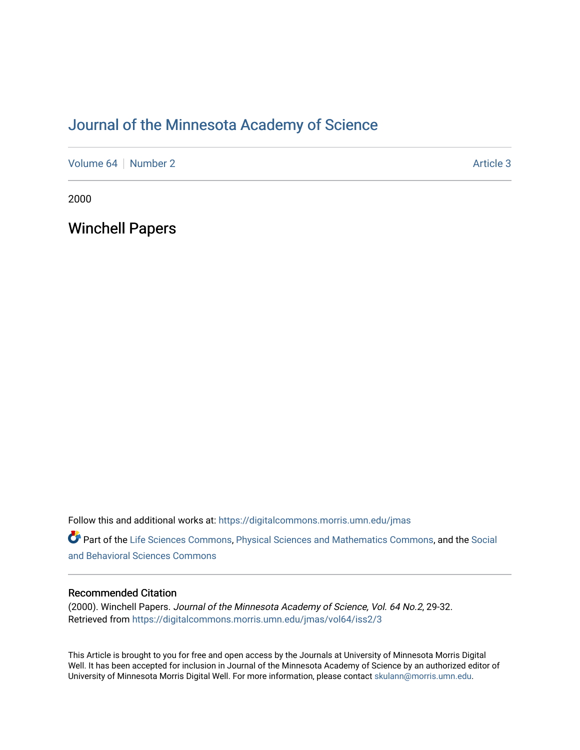# [Journal of the Minnesota Academy of Science](https://digitalcommons.morris.umn.edu/jmas)

[Volume 64](https://digitalcommons.morris.umn.edu/jmas/vol64) [Number 2](https://digitalcommons.morris.umn.edu/jmas/vol64/iss2) Article 3

2000

Winchell Papers

Follow this and additional works at: [https://digitalcommons.morris.umn.edu/jmas](https://digitalcommons.morris.umn.edu/jmas?utm_source=digitalcommons.morris.umn.edu%2Fjmas%2Fvol64%2Fiss2%2F3&utm_medium=PDF&utm_campaign=PDFCoverPages) 

Part of the [Life Sciences Commons,](https://network.bepress.com/hgg/discipline/1016?utm_source=digitalcommons.morris.umn.edu%2Fjmas%2Fvol64%2Fiss2%2F3&utm_medium=PDF&utm_campaign=PDFCoverPages) [Physical Sciences and Mathematics Commons,](https://network.bepress.com/hgg/discipline/114?utm_source=digitalcommons.morris.umn.edu%2Fjmas%2Fvol64%2Fiss2%2F3&utm_medium=PDF&utm_campaign=PDFCoverPages) and the [Social](https://network.bepress.com/hgg/discipline/316?utm_source=digitalcommons.morris.umn.edu%2Fjmas%2Fvol64%2Fiss2%2F3&utm_medium=PDF&utm_campaign=PDFCoverPages)  [and Behavioral Sciences Commons](https://network.bepress.com/hgg/discipline/316?utm_source=digitalcommons.morris.umn.edu%2Fjmas%2Fvol64%2Fiss2%2F3&utm_medium=PDF&utm_campaign=PDFCoverPages) 

# Recommended Citation

(2000). Winchell Papers. Journal of the Minnesota Academy of Science, Vol. 64 No.2, 29-32. Retrieved from [https://digitalcommons.morris.umn.edu/jmas/vol64/iss2/3](https://digitalcommons.morris.umn.edu/jmas/vol64/iss2/3?utm_source=digitalcommons.morris.umn.edu%2Fjmas%2Fvol64%2Fiss2%2F3&utm_medium=PDF&utm_campaign=PDFCoverPages)

This Article is brought to you for free and open access by the Journals at University of Minnesota Morris Digital Well. It has been accepted for inclusion in Journal of the Minnesota Academy of Science by an authorized editor of University of Minnesota Morris Digital Well. For more information, please contact [skulann@morris.umn.edu](mailto:skulann@morris.umn.edu).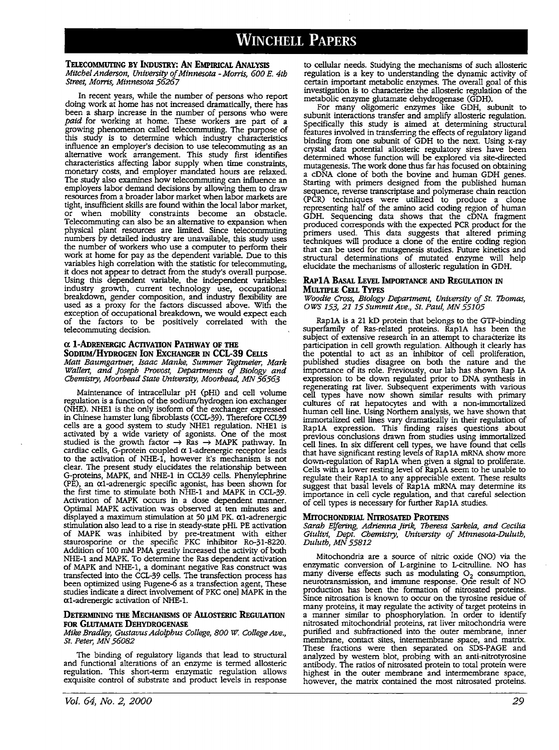# **WINCHELL PAPERS**

# **TELECOMMUTING BY INDUSTRY: AN EMPIRICAL ANALYSIS**

*Mitchel Anderson, University of Minnesota* - *Morris, 600 E. 4th Street, Morris, Minnesota 56267* 

In recent years, while the number of persons who report doing work at home has not increased dramatically, there has been a sharp increase in the number of persons who were *paid* for working at home. These workers are part of a *growing phenomenon called telecommuting. The purpose of* this study is to determine which industry characteristics influence an employer's decision to use telecommuting as an alternative work arrangement. This study first identifies characteristics affecting labor supply when time constraints, monetary costs, and employer mandated hours are relaxed.<br>The study also examines how telecommuting can influence an employers labor demand decisions by allowing them to draw<br>resources from a broader labor market when labor markets are<br>tight, insufficient skills are found within the local labor market,<br>or when mobility constraints become Telecommuting can also be an alternative to expansion when physical plant resources are limited. Since telecommuting the number of workers who use a computer to perform their work at home for pay as the dependent variable. Due to this variables high correlation with the statistic for telecommuting, it does not appear to detract from the study's overall purpose. Using this dependent variable, the independent variables: industry growth, current technology use, occupational breakdown, gender composition, and industry flexibility are used as a proxy for the factors discussed above. With the exception of occupational breakdown, we would expect each of the factors to be positively correlated with the telecommuting decision.

#### **ex 1-ADRENERGIC ACTIVATION PATHWAY OF THE SODIUM/HYDROGEN ION EXCHANGER IN CCL-39 CELLS** *Matt Baumgartner, Isaac Manke, Summer Tegtmeier, Mark Wallert, and Joseph Provost, Departments of Biology and Chemistry, Moorhead State University, Moorhead, MN 56563*

Maintenance of intracellular pH (pHi) and cell volume regulation is a function of the sodium/hydrogen ion exchanger (NHE). NHEl is the only isoform of the exchanger expressed in Chinese hamster lung fibroblasts (CCL-39). Therefore CCL39 cells are a good system to study NHEl regulation. NHEl is activated by a wide variety of agonises. One of the most studied is the growth factor  $\rightarrow$  Ras  $\rightarrow$  MAPK pathway. In cardiac cells, G-protein coupled  $\alpha$  1-adrenergic receptor leads to the activation of NHE-1, however it's mechanism is not clear. The present study elucidates the relationship between G-proteins, MAPK, and NHE-1 in CCL39 cells. Phenylephrine (PE), an  $\alpha$ 1-adrenergic specific agonist, has been shown for the first time to stimulate both NHE-1 and MAPK in CCL-39.<br>Activation of MAPK occurs in a dose dependent manner. Optimal MAPK activation was observed at ten minutes and displayed a maximum stimulation at 50  $\mu$ M PK.  $\alpha$ 1-adrenergic stimulation also lead to a rise in steady-state pHi. PE activation of MAPK was inhibited by pre-treatment with either staurosporine or the specific PKC inhibitor Ro-31-8220. Addition of 100 mM PMA greatly increased the activity of both NHE-1 and MAPK. To determine the Ras dependent activation of MAPK and NHE-1, a dominant negative Ras construct was transfected into the CCL-39 cells. The transfection process has been optimized using Fugene-6 as a transfection agent, These studies indicate a direct involvement of PKC one] MAPK in the  $\alpha$ 1-adrenergic activation of NHE-1.

### **DETERMINING THE MECHANISMS OF ALLOSTERIC REGULATION FOR GLUTAMATE DEHYDROGENASE**

*Mike Bradley, Gustavus Adolphus College, 800 W College Ave., St. Peter, MN 56082* 

The binding of regulatory ligands that lead to Structural and functional alterations of an enzyme is termed allosteric regulation. This short-term enzymatic regulation allows exquisite control of substrate and product levels in response to cellular needs. Studying the mechanisms of such allosteric regulation is a key to understanding the dynamic activity of certain important metabolic enzymes. The overall goal of this investigation is to characterize the allosteric regulation of the metabolic enzyme glutamate dehydrogenase (GDH).

For many oligomeric enzymes like GDH, subunit to subunit interactions transfer and amplify allosteric regulation. Specifically this study is aimed at determining structural features involved in transferring the effects of regulatory ligand binding from one subunit of GDH to the next. Using x-ray crystal data potential allosteric regulatory sires have been determined whose function will be explored via site-directed mutagenesis. The work done thus far has focused on obtaining a cDNA clone of both the bovine and human GDH genes. Starting with primers designed from the published human sequence, reverse transcriptase and polymerase chain reaction (PCR) techniques were utilized to produce a clone representing half of the amino acid coding region of human GDH. Sequencing data shows that the cDNA fragment produced corresponds with the expected PCR product for the primers used. This data suggests that altered priming techniques will produce a clone of the entire coding region that can be used for mutagenesis studies. Future kinetics and structural determinations of mutated enzyme will help elucidate the mechanisms of allosteric regulation in GDH.

# **RAPlA BASAL LEVEL IMPORTANCE AND REGULATION** IN **MULTIPLE CELL TYPES**

*Woodie Cross, Biology Department, University of St. Tbomas, OWS 153, 21 15 Summit Ave., St. Paul, MN 55105* 

RaplA is a 21 kD protein that belongs to the GTP-binding superfamily of Ras-related proteins. RaplA has been the subject of extensive research in an attempt to characterize its participation in cell growth regulation. Although it clearly has the potential to act as an inhibitor of cell proliferation, published studies disagree on both the nature and the importance of its role. Previously, our lab has shown Rap IA expression to be down regulated prior to DNA synthesis in regenerating rat liver. Subsequent experiments with various cell types have now shown similar results with primary cultures of rat hepatocytes and with a non-immortalized human cell line. Using Northern analysis, we have shown that immortalized cell lines vary dramatically in their regulation of RaplA expression. This finding raises questions about previous conclusions drawn from studies using immortalized cell lines. In six different cell types, we have found that cells that have significant resting levels of Rap1A mRNA show more down-regulation of Rap1A when given a signal to proliferate. Cells with a lower resting level of RaplA seem to he unable to regulate their RaplA to any appreciable extent. These results suggest that basal levels of RaplA mRNA may determine its importance in cell cycle regulation, and that careful selection of cell types is necessary for further RaplA studies.

#### **MITOCHONDRIAL NITROSATED PROTEINS**

*Sarah Elfering, Adrienna Jirik, Tberesa Sarkela, and Cecilia GiuliVi, Dept. Chemistry, University of Minnesota-Duluth, Duluth, MN 55812* 

Mitochondria are a source of nitric oxide (NO) via the enzymatic conversion of L-arginine to L-citrulline. NO has many diverse effects such as modulating  $O_2$  consumption, neurotransmission, and immune response. One result of NO production has been the formation of nitrosated proteins. Since nitrosation is known to occur on the tyrosine residue of many proteins, it may regulate the activity of target proteins in a manner similar to phosphorylation. In order to identify nitrosated mitochondrial proteins, rat liver mitochondria were purified and subfractioned into the outer membrane, inner membrane, contact sites, intermembrane space, and matrix. These fractions were then separated on SDS-PAGE and analyzed by western blot, probing with an anti-nitrotyrosine antibody. The ratios of nitrosated protein to total protein were highest in the outer membrane and intermembrane space, however, the matrix contained the most nitrosated proteins.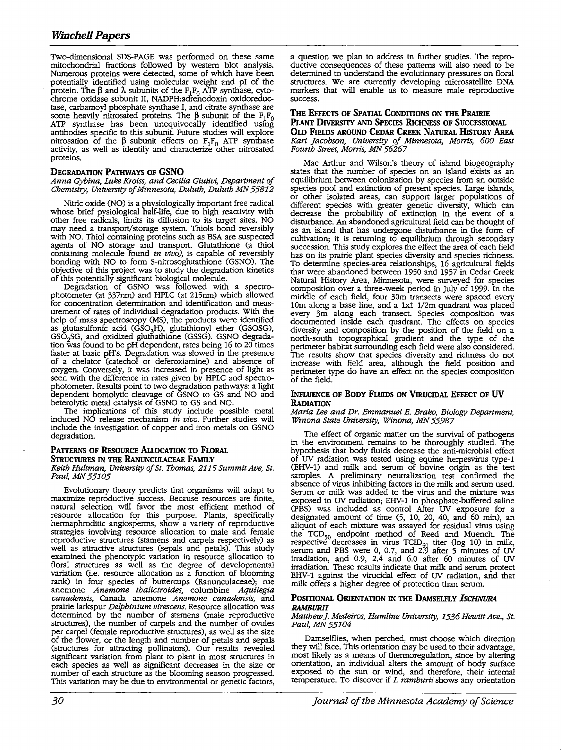Two-dimensional SDS-PAGE was performed on these same mitochondrial fractions followed by western blot analysis. Numerous proteins were detected, some of which have been potentially identified using molecular weight and pl of the protein. The β and λ subunits of the  $F_1F_0$  ATP synthase, cyto-<br>chrome oxidase subunit II, NADPH:adrenodoxin oxidoreductase, carbamoyl phosphate synthase I, and citrate synthase are some heavily nitrosated proteins. The  $\beta$  subunit of the  $F_1F_0$  ATP synthase has been unequivocally identified using antibodies specific to this subunit. Future studies will explore nitrosation of the  $\beta$  subunit effects on F<sub>1</sub>F<sub>0</sub> ATP synthase activity, as well as identify and characterize other nitrosated proteins.

# **DEGRADATION PATHWAYS OF GSNO**

*Anna Gybina, Luke Kroiss, and Cecilia Giulivi, Department of Chemistry, University of Minnesota, Duluth, Duluth MN 55812* 

Nitric oxide (NO) is a physiologically important free radical whose brief pysiological half-life, due to high reactivity with other free radicals, limits its diffusion to its target sites. NO may need a transport/storage system. Thiols bond reversibly with NO. Thiol containing proteins such as BSA are suspected agents of NO storage and transport. Glutathione (a thiol containing molecule found *in vivo),* is capable of reversibly bonding with NO to form S-nitrosoglutathione (GSNO). The objective of this project was to study the degradation kinetics of this potentially significant biological molecule.

Degradation of GSNO was followed with a spectrophotometer (at 337nm) and HPLC (at 215nm) which allowed for concentration determination and identification and meas- urement of rates of individual degradation products. With the help of mass spectroscopy (MS), the products were identified as glutasulfonic acid (GSO<sub>3</sub>H), glutathionyl ether (GSOSG), GSO<sub>2</sub>SG, and oxidized gluthathione (GSSG). GSNO degradation was found to be pH dependent, rates being 16 to 20 times faster at basic pH's. Degradation was slowed in the presence of a chelator (catechol or deferoxiamine) and absence of oxygen. Conversely, it was increased in presence of light as seen with the difference in rates given by HPLC and spectrophotometer. Results point to two degradation pathways: a light dependent homolytic cleavage of GSNO to GS and NO and heterolytic metal catalysis of GSNO to GS and NO.

The implications of this study include possible metal induced NO release mechanism *in vivo.* Further studies will include the investigation of copper and iron metals on GSNO degradation.

# **PATIERNS OF REsOURCE ALLOCATION TO FLORAL STRUCTURES** IN **THE RANuNCULACEAE FAMILY**

*Keith Hultman, University of St. Thomas, 2115 Summit Ave, St. Paul MN 55105* 

Evolutionary theory predicts that organisms will adapt to maximize reproductive success. Because resources are finite, natural selection will favor the most efficient method of<br>resource allocation for this purpose. Plants, specifically hermaphroditic angiosperms, show a variety of reproductive strategies involving resource allocation to male and female reproductive structures (stamens and carpels respectively) as well as attractive structures (sepals and petals). This study examined the phenotypic variation in resource allocation to floral structures as well as the degree of developmental variation (i.e. resource allocation as a function of blooming rank) in four species of buttercups (Ranunculaceae); rue rank) in four species of buttercups (Ranunculaceae); rue anemone *Anemone tha/ictroides,* columbine *Aquilegia canadensis,* Canada anemone *Anemone canadensis,* and prairie larkspur *Delphinium virescens.* Resource allocation was determined by the number of stamens (male reproductive structures), the number of carpels and the number of ovules per carpel (female reproductive structures), as well as the size of the flower, or the length and number of petals and sepals (structures for attracting pollinators). Our results revealed significant variation from plant to plant in most structures in each species as well as significant decreases in the size or number of each structure as the blooming season progressed. This variation may be due to environmental or genetic factors,

**THE EFFECTS OF SPATIAL CONDITIONS ON THE PRAIRIE PLANT DIVERSITY AND SPECIES RICHNESS OF SUCCESSIONAL OLD FIELDS AROUND CEDAR CREEK NATURAL IIIsTORY AREA**  *Kari Jacobson, University of Minnesota, Morris, 600 East Fourth Street, Morris, MN 56267* 

Mac Arthur and Wilson's theory of island biogeography states that the number of species on an island exists as an equilibrium between colonization by species from an outside species pool and extinction of present species. Large islands, or other isolated areas, can support larger populations of different species with greater genetic diversity, which can decrease the probability of extinction in the event of a disturbance. An abandoned agricultural field can be thought of as an island that has undergone disturbance in the form of cultivation; it is returning to equilibrium through secondary succession. This study explores the effect the area of each field has on its prairie plant species diversity and species richness. To determine species-area relationships, 16 agricultural fields that were abandoned between 1950 and 1957 in Cedar Creek Natural History Area, Minnesota, were surveyed for species composition over a three-week period in July of 1999. In the middle of each field, four 30m transects were spaced every 10m along a base line, and a lxl 1/2m quadrant was placed every 3m along each transect. Species composition was documented inside each quadrant. The effects on species documented inside each quadrant. The effects on species diversity and composition by the position of the field on a north-south topographical gradient and the type of the perimeter habitat surrounding each field were also considered. The results show that species diversity and richness do not increase with field area, although the field position and perimeter type do have an effect on the species composition of the field.

# **INFLUENCE OF BODY FLUIDS ON VmUCIDAL EFFECT OF UV RADIATION**

*Maria Lee and Dr. Emmanuel E. Brako, Biology Department, Winona State University, Winona, MN 55987* 

The effect of organic matter on the survival of pathogens in the environment remains to be thoroughly studied. The hypothesis that body fluids decrease the anti-microbial effect of UV radiation was tested using equine herpesvirus type-1 (EHV-1) and milk and serum of bovine origin as the test samples. A preliminary neutralization test confirmed the absence of virus inhibiting factors in the milk and serum used.<br>Serum or milk was added to the virus and the mixture was exposed to UV radiation; EHV-1 in phosphate-buffered saline (PBS) was included as control After UV exposure for a (PBS) was included as control After UV exposure for a designated amount of time (5, 10, 20, 40, and 60 min), an aliquot of each mixture was assayed for residual virus using the  $TCD_{50}$  endpoint method of Reed and Muench. The respective decreases in virus  $TCID_{50}$  titer (log 10) in milk, serum and PBS were 0, 0.7, and 2.9 after 5 minutes of UV irradiation, and 0.9, 2.4 and 6.0 after 60 minutes of UV irradiation. These results indicate that milk and serum protect EHV-1 against the virucidal effect of UV radiation, and that milk offers a higher degree of protection than serum.

# **PosmONAL ORIENTATION** IN THE **DAMSELFLY** *IscHNURA RAMBURII*

# *Matthew* J. *Medeiros, Hamline University, 1536 Hewitt Ave., St. Paul, MN 55104*

Damselflies, when perched, must choose which direction they will face. This orientation may be used to their advantage, most likely as a means of thermoregulation, since by altering orientation, an individual alters the amount of body surface exposed to the sun or wind, and therefore, their internal temperature. To discover if *I. ramburii* shows any orientation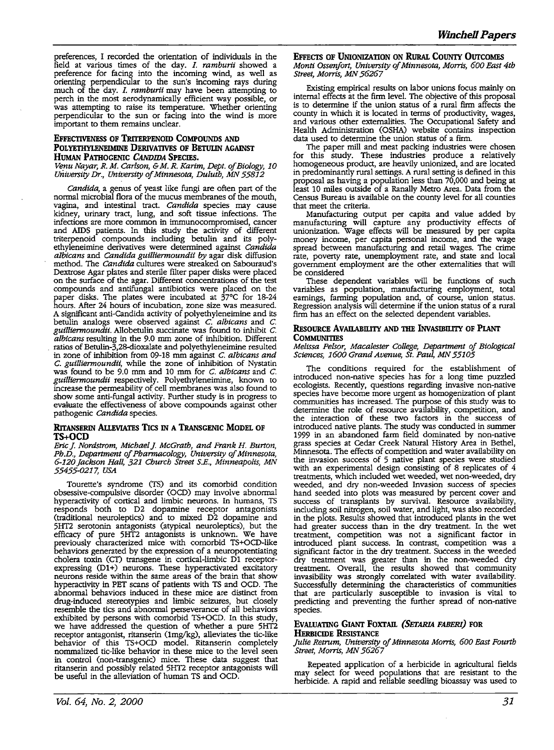preferences, I recorded the orientation of individuals in the field at various times of the day. I. ramburii showed a field at various times of the day. *I. ramburii* showed a preference for facing into the incoming wind, as well as orienting perpendicular to the sun's incoming rays during much of the day. /. *ramburii* may have been attempting to perch in the most aerodynamically efficient way possible, or was attempting to raise its temperature. Whether orienting perpendicular to the sun or facing into the wind is more important to them remains unclear.

# **EFFECTIVENESS OF TRITERPENOID COMPOUNDS AND POLYETIIYLENEIMINE DERIVATIVES OF BETULIN AGAINST HUMAN PATHOGENIC** *CANDIDA* **SPECIES.**

*Venu Nayar, R. M. Carlson,* & *M. R. Karim, Dept. of Biology, 10 University* Dr., *University of Minnesota, Duluth, MN 55812* 

*Candida,* a genus of yeast like fungi are often part of the normal microbial flora of the mucus membranes of the mouth, vagina, and intestinal tract. Candida species may cause kidney, urinary tract, lung, and soft tissue infections. The infections are more common in immunocompromised, cancer infections are more common in immunocompromised, cancer and AIDS patients. In this study the activity of different triterpenoid compounds including betulin and its polyethyleneimine derivatives were determined against *Candida albicans* and *Candida guilliermoundii by* agar disk diffusion method. The *Candida* cultures were streaked on Sabouraud's on the surface of the agar. Different concentrations of the test compounds and antifungal antibiotics were placed on the paper disks. The plates were incubated at 37°C for 18-24 hours. After 24 hours of incubation, zone size was measured. A significant anti-Candida activity of polyethyleneimine and its betulin analogs were observed against *C. albicans* and *C. guilliermoundii.* Allobetulin succinate was found to inhibit *C. albicans* resulting in the 9.0 mm zone of inhibition. Different ratios of Betulin-3,28-dioxalate and polyethyleneimine resulted in zone of inhibition from 09-18 mm against *C. albicans and*  was found to be 9.0 mm and 10 mm for *C. albicans* and *C. guilliermoundii* respectively. Polyethyleneimine, known to increase the permeability of cell membranes was also found to show some anti-fungal activity. Further study is in progress to evaluate the effectiveness of above compounds against other pathogenic *Candida* species.

# **RITANSERIN AilEvIATES Tics** IN **A TRANSGENIC MODEL OF TS+OCD**

*Eric* j. *Nordstrom, Michael* j. *McGrath, and Frank H. Burton, Ph.D., Department of Pharmacology, University of Minnesota, 6-120 Jackson Hall, 321 Church Street S.E., Minneapolis, MN 55455-0217, USA* 

Tourette's syndrome (TS) and its comorbid condition obsessive-compulsive disorder (OCD) may involve abnormal hyperactivity of cortical and limbic neurons. In humans, TS responds both to D2 dopamine receptor antagonists (traditional neuroleptics) and to mixed D2 dopamine and 5HT2 serotonin antagonists (atypical neuroleptics), but the efficacy of pure 5HT2 antagonists is unknown. We have previously characterized mice with comorbid TS+OCD-like behaviors generated by the expression of a neuropotentiating cholera toxin (CT) transgene in cortical-limbic D1 receptor-<br>expressing (D1+) neurons. These hyperactivated excitatory expressing (D1+) neurons. These hyperactivated excitatory neurons reside within the same areas of the brain that show hyperactivity in PET scans of patients with TS and OCD. The abnormal behaviors induced in these mice are distinct from drug-induced stereotypies and limbic seizures, but closely resemble the tics and abnormal perseverance of all behaviors exhibited by persons with comorbid TS+OCD. In this study, we have addressed the question of whether a pure 5HT2 receptor antagonist, ritanserin (lmg/kg), alleviates the tic-like behavior of this TS+OCD model. Ritanserin completely nommalized tic-like behavior in these mice to the level seen in control (non-transgenic) mice. These data suggest that ritanserin and possibly related 5HT2 receptor antagonists will be useful in the alleviation of human TS and OCD.

**EFFECTS OF UNIONIZATION ON RURAL COUNTY OUTCOMES** *Monti Ossenfort, University of Minnesota, Morris, 600 East 4th Street, Morris, MN 56267* 

Existing empirical results on labor unions focus mainly on internal effects at the firm level. The objective of this proposal is to determine if the union status of a rural firm affects the county in which it is located in terms of productivity, wages, and various other externalities. The Occupational Safety and Health Administration (OSHA) website contains inspection data used to determine the union status of a firm.

The paper mill and meat packing industries were chosen for this study. These industries produce a relatively homogeneous product, are heavily unionized, and are located in predominantly rural settings. A rural setting is defined in this proposal as having a population less than 70,000 and being at least 10 miles outside of a Ranally Metro Area. Data from the Census Bureau is available on the county level for all counties that meet the criteria.

Manufacturing output per capita and value added by manufacturing will capture any productivity effects of unionization. Wage effects will be measured by per capita money income, per capita personal income, and the wage spread between manufacturing and retail wages. The crime rate, poverty rate, unemployment rate, and state and local government employment are the other externalities that will be considered

These dependent variables will be functions of such variables as population, manufacturing employment, total earnings, farming population and, of course, union status. Regression analysis will determine if the union status of a rural firm has an effect on the selected dependent variables.

# **REsOURCE AVAILABil.ITY AND THE INvASIBil.ITY OF Pl.ANT COMMUNITIES**

*Melissa Pelsor, Macalester College, Department of Biological Sciences, 1600 Grand Avenue, St. Paul MN 55105* 

The conditions required for the establishment of introduced non-native species has for a long time puzzled ecologists. Recently, questions regarding invasive non-native species have become more urgent as homogenization of plant communities has increased. The purpose of this study was to determine the role of resource availability, competition, and the interaction of these two factors in the success of introduced native plants. The study was conducted in summer 1999 in an abandoned farm field dominated by non-native grass species at Cedar Creek Natural History Area in Bethel, Minnesota. The effects of competition and water availability on the invasion success of 5 native plant species were studied with an experimental design consisting of 8 replicates of 4 treatments, which included wet weeded, wet non-weeded, dry weeded, and dry non-weeded Invasion success of species hand seeded into plots was measured by percent cover and hand seeded into plots was measured by percent cover and success of transplants by survival. Resource availability, including soil nitrogen, soil water, and light, was also recorded in the plots. Results showed that introduced plants in the wet had greater success than in the dry treatment. In the wet treatment, competition was not a significant factor in significant factor in the dry treatment. Success in the weeded dry treatment was greater than in the non-weeded dry treatment. Overall, the results showed that community invasibility was strongly correlated with water availability. Successfully determining the characteristics of communities that are particularly susceptible to invasion is vital to predicting and preventing the further spread of non-native species.

### **EVALUATING GIANT FOXTAIL (SETARIA FABERI) FOR HERBICIDE REsISTANCE**

*Julie Retrum, University of Minnesota Morris, 600 East Fourth Street, Morris, MN 56267* 

Repeated application of a herbicide in agricultural fields may select for weed populations that are resistant to the herbicide. A rapid and reliable seedling bioassay was used to